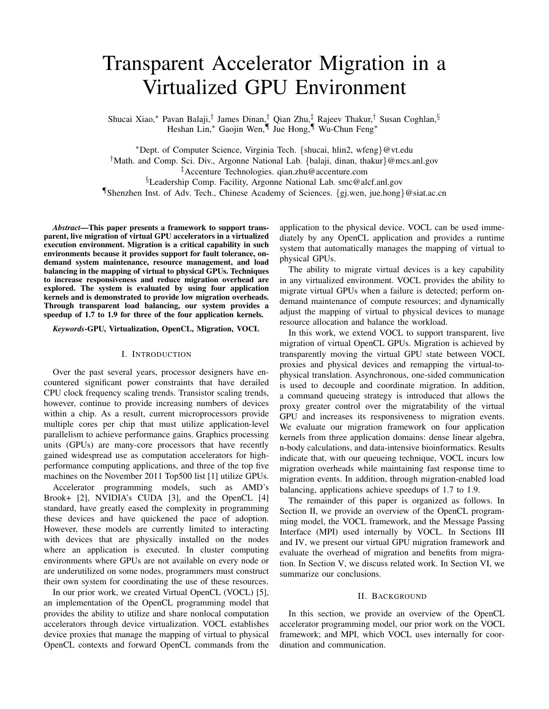# Transparent Accelerator Migration in a Virtualized GPU Environment

Shucai Xiao,<sup>∗</sup> Pavan Balaji,† James Dinan,† Qian Zhu,‡ Rajeev Thakur,† Susan Coghlan,§ Heshan Lin,<sup>∗</sup> Gaojin Wen,¶ Jue Hong,¶ Wu-Chun Feng<sup>∗</sup>

<sup>∗</sup>Dept. of Computer Science, Virginia Tech. {shucai, hlin2, wfeng}@vt.edu

†Math. and Comp. Sci. Div., Argonne National Lab. {balaji, dinan, thakur}@mcs.anl.gov ‡Accenture Technologies. qian.zhu@accenture.com

§Leadership Comp. Facility, Argonne National Lab. smc@alcf.anl.gov **Shenzhen Inst. of Adv. Tech., Chinese Academy of Sciences.** {gi.wen, jue.hong}@siat.ac.cn

*Abstract***—This paper presents a framework to support transparent, live migration of virtual GPU accelerators in a virtualized execution environment. Migration is a critical capability in such environments because it provides support for fault tolerance, ondemand system maintenance, resource management, and load balancing in the mapping of virtual to physical GPUs. Techniques to increase responsiveness and reduce migration overhead are explored. The system is evaluated by using four application kernels and is demonstrated to provide low migration overheads. Through transparent load balancing, our system provides a speedup of 1.7 to 1.9 for three of the four application kernels.**

# *Keywords***-GPU, Virtualization, OpenCL, Migration, VOCL**

# I. INTRODUCTION

Over the past several years, processor designers have encountered significant power constraints that have derailed CPU clock frequency scaling trends. Transistor scaling trends, however, continue to provide increasing numbers of devices within a chip. As a result, current microprocessors provide multiple cores per chip that must utilize application-level parallelism to achieve performance gains. Graphics processing units (GPUs) are many-core processors that have recently gained widespread use as computation accelerators for highperformance computing applications, and three of the top five machines on the November 2011 Top500 list [1] utilize GPUs.

Accelerator programming models, such as AMD's Brook+ [2], NVIDIA's CUDA [3], and the OpenCL [4] standard, have greatly eased the complexity in programming these devices and have quickened the pace of adoption. However, these models are currently limited to interacting with devices that are physically installed on the nodes where an application is executed. In cluster computing environments where GPUs are not available on every node or are underutilized on some nodes, programmers must construct their own system for coordinating the use of these resources.

In our prior work, we created Virtual OpenCL (VOCL) [5], an implementation of the OpenCL programming model that provides the ability to utilize and share nonlocal computation accelerators through device virtualization. VOCL establishes device proxies that manage the mapping of virtual to physical OpenCL contexts and forward OpenCL commands from the

application to the physical device. VOCL can be used immediately by any OpenCL application and provides a runtime system that automatically manages the mapping of virtual to physical GPUs.

The ability to migrate virtual devices is a key capability in any virtualized environment. VOCL provides the ability to migrate virtual GPUs when a failure is detected; perform ondemand maintenance of compute resources; and dynamically adjust the mapping of virtual to physical devices to manage resource allocation and balance the workload.

In this work, we extend VOCL to support transparent, live migration of virtual OpenCL GPUs. Migration is achieved by transparently moving the virtual GPU state between VOCL proxies and physical devices and remapping the virtual-tophysical translation. Asynchronous, one-sided communication is used to decouple and coordinate migration. In addition, a command queueing strategy is introduced that allows the proxy greater control over the migratability of the virtual GPU and increases its responsiveness to migration events. We evaluate our migration framework on four application kernels from three application domains: dense linear algebra, n-body calculations, and data-intensive bioinformatics. Results indicate that, with our queueing technique, VOCL incurs low migration overheads while maintaining fast response time to migration events. In addition, through migration-enabled load balancing, applications achieve speedups of 1.7 to 1.9.

The remainder of this paper is organized as follows. In Section II, we provide an overview of the OpenCL programming model, the VOCL framework, and the Message Passing Interface (MPI) used internally by VOCL. In Sections III and IV, we present our virtual GPU migration framework and evaluate the overhead of migration and benefits from migration. In Section V, we discuss related work. In Section VI, we summarize our conclusions.

## II. BACKGROUND

In this section, we provide an overview of the OpenCL accelerator programming model, our prior work on the VOCL framework; and MPI, which VOCL uses internally for coordination and communication.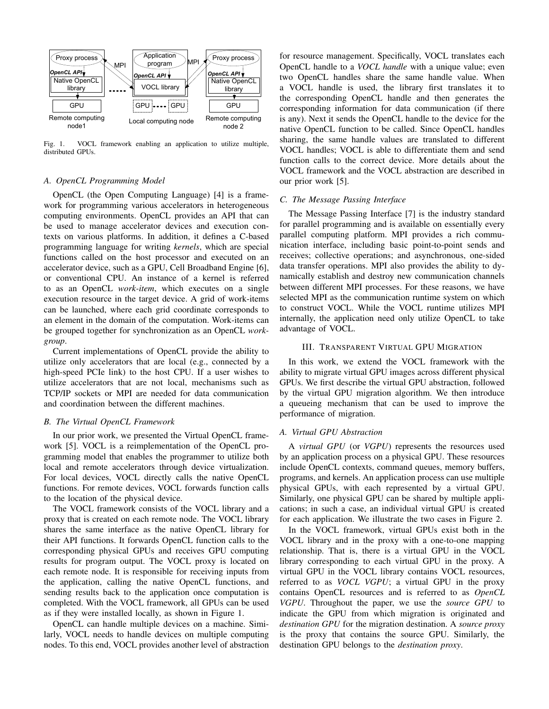

Fig. 1. VOCL framework enabling an application to utilize multiple, distributed GPUs.

# *A. OpenCL Programming Model*

OpenCL (the Open Computing Language) [4] is a framework for programming various accelerators in heterogeneous computing environments. OpenCL provides an API that can be used to manage accelerator devices and execution contexts on various platforms. In addition, it defines a C-based programming language for writing *kernels*, which are special functions called on the host processor and executed on an accelerator device, such as a GPU, Cell Broadband Engine [6], or conventional CPU. An instance of a kernel is referred to as an OpenCL *work-item*, which executes on a single execution resource in the target device. A grid of work-items can be launched, where each grid coordinate corresponds to an element in the domain of the computation. Work-items can be grouped together for synchronization as an OpenCL *workgroup*.

Current implementations of OpenCL provide the ability to utilize only accelerators that are local (e.g., connected by a high-speed PCIe link) to the host CPU. If a user wishes to utilize accelerators that are not local, mechanisms such as TCP/IP sockets or MPI are needed for data communication and coordination between the different machines.

#### *B. The Virtual OpenCL Framework*

In our prior work, we presented the Virtual OpenCL framework [5]. VOCL is a reimplementation of the OpenCL programming model that enables the programmer to utilize both local and remote accelerators through device virtualization. For local devices, VOCL directly calls the native OpenCL functions. For remote devices, VOCL forwards function calls to the location of the physical device.

The VOCL framework consists of the VOCL library and a proxy that is created on each remote node. The VOCL library shares the same interface as the native OpenCL library for their API functions. It forwards OpenCL function calls to the corresponding physical GPUs and receives GPU computing results for program output. The VOCL proxy is located on each remote node. It is responsible for receiving inputs from the application, calling the native OpenCL functions, and sending results back to the application once computation is completed. With the VOCL framework, all GPUs can be used as if they were installed locally, as shown in Figure 1.

OpenCL can handle multiple devices on a machine. Similarly, VOCL needs to handle devices on multiple computing nodes. To this end, VOCL provides another level of abstraction for resource management. Specifically, VOCL translates each OpenCL handle to a *VOCL handle* with a unique value; even two OpenCL handles share the same handle value. When a VOCL handle is used, the library first translates it to the corresponding OpenCL handle and then generates the corresponding information for data communication (if there is any). Next it sends the OpenCL handle to the device for the native OpenCL function to be called. Since OpenCL handles sharing, the same handle values are translated to different VOCL handles; VOCL is able to differentiate them and send function calls to the correct device. More details about the VOCL framework and the VOCL abstraction are described in our prior work [5].

#### *C. The Message Passing Interface*

The Message Passing Interface [7] is the industry standard for parallel programming and is available on essentially every parallel computing platform. MPI provides a rich communication interface, including basic point-to-point sends and receives; collective operations; and asynchronous, one-sided data transfer operations. MPI also provides the ability to dynamically establish and destroy new communication channels between different MPI processes. For these reasons, we have selected MPI as the communication runtime system on which to construct VOCL. While the VOCL runtime utilizes MPI internally, the application need only utilize OpenCL to take advantage of VOCL.

#### III. TRANSPARENT VIRTUAL GPU MIGRATION

In this work, we extend the VOCL framework with the ability to migrate virtual GPU images across different physical GPUs. We first describe the virtual GPU abstraction, followed by the virtual GPU migration algorithm. We then introduce a queueing mechanism that can be used to improve the performance of migration.

## *A. Virtual GPU Abstraction*

A *virtual GPU* (or *VGPU*) represents the resources used by an application process on a physical GPU. These resources include OpenCL contexts, command queues, memory buffers, programs, and kernels. An application process can use multiple physical GPUs, with each represented by a virtual GPU. Similarly, one physical GPU can be shared by multiple applications; in such a case, an individual virtual GPU is created for each application. We illustrate the two cases in Figure 2.

In the VOCL framework, virtual GPUs exist both in the VOCL library and in the proxy with a one-to-one mapping relationship. That is, there is a virtual GPU in the VOCL library corresponding to each virtual GPU in the proxy. A virtual GPU in the VOCL library contains VOCL resources, referred to as *VOCL VGPU*; a virtual GPU in the proxy contains OpenCL resources and is referred to as *OpenCL VGPU*. Throughout the paper, we use the *source GPU* to indicate the GPU from which migration is originated and *destination GPU* for the migration destination. A *source proxy* is the proxy that contains the source GPU. Similarly, the destination GPU belongs to the *destination proxy*.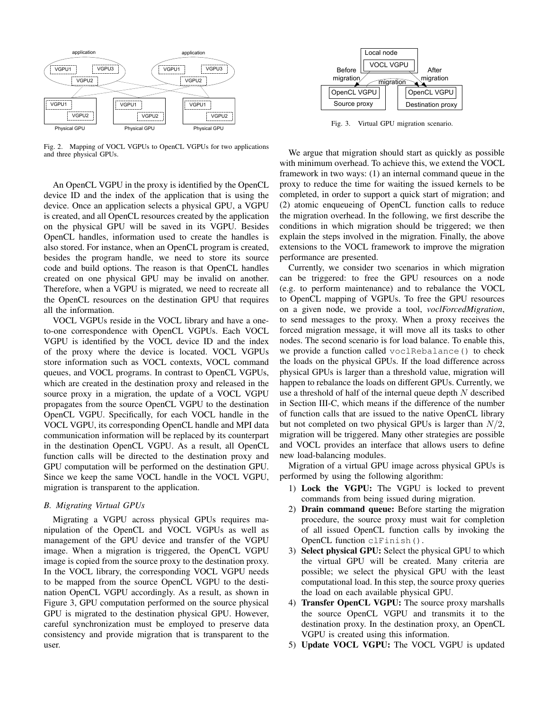

Fig. 2. Mapping of VOCL VGPUs to OpenCL VGPUs for two applications and three physical GPUs.

An OpenCL VGPU in the proxy is identified by the OpenCL device ID and the index of the application that is using the device. Once an application selects a physical GPU, a VGPU is created, and all OpenCL resources created by the application on the physical GPU will be saved in its VGPU. Besides OpenCL handles, information used to create the handles is also stored. For instance, when an OpenCL program is created, besides the program handle, we need to store its source code and build options. The reason is that OpenCL handles created on one physical GPU may be invalid on another. Therefore, when a VGPU is migrated, we need to recreate all the OpenCL resources on the destination GPU that requires all the information.

VOCL VGPUs reside in the VOCL library and have a oneto-one correspondence with OpenCL VGPUs. Each VOCL VGPU is identified by the VOCL device ID and the index of the proxy where the device is located. VOCL VGPUs store information such as VOCL contexts, VOCL command queues, and VOCL programs. In contrast to OpenCL VGPUs, which are created in the destination proxy and released in the source proxy in a migration, the update of a VOCL VGPU propagates from the source OpenCL VGPU to the destination OpenCL VGPU. Specifically, for each VOCL handle in the VOCL VGPU, its corresponding OpenCL handle and MPI data communication information will be replaced by its counterpart in the destination OpenCL VGPU. As a result, all OpenCL function calls will be directed to the destination proxy and GPU computation will be performed on the destination GPU. Since we keep the same VOCL handle in the VOCL VGPU, migration is transparent to the application.

## *B. Migrating Virtual GPUs*

Migrating a VGPU across physical GPUs requires manipulation of the OpenCL and VOCL VGPUs as well as management of the GPU device and transfer of the VGPU image. When a migration is triggered, the OpenCL VGPU image is copied from the source proxy to the destination proxy. In the VOCL library, the corresponding VOCL VGPU needs to be mapped from the source OpenCL VGPU to the destination OpenCL VGPU accordingly. As a result, as shown in Figure 3, GPU computation performed on the source physical GPU is migrated to the destination physical GPU. However, careful synchronization must be employed to preserve data consistency and provide migration that is transparent to the user.



Fig. 3. Virtual GPU migration scenario.

We argue that migration should start as quickly as possible with minimum overhead. To achieve this, we extend the VOCL framework in two ways: (1) an internal command queue in the proxy to reduce the time for waiting the issued kernels to be completed, in order to support a quick start of migration; and (2) atomic enqueueing of OpenCL function calls to reduce the migration overhead. In the following, we first describe the conditions in which migration should be triggered; we then explain the steps involved in the migration. Finally, the above extensions to the VOCL framework to improve the migration performance are presented.

Currently, we consider two scenarios in which migration can be triggered: to free the GPU resources on a node (e.g. to perform maintenance) and to rebalance the VOCL to OpenCL mapping of VGPUs. To free the GPU resources on a given node, we provide a tool, *voclForcedMigration*, to send messages to the proxy. When a proxy receives the forced migration message, it will move all its tasks to other nodes. The second scenario is for load balance. To enable this, we provide a function called voclRebalance() to check the loads on the physical GPUs. If the load difference across physical GPUs is larger than a threshold value, migration will happen to rebalance the loads on different GPUs. Currently, we use a threshold of half of the internal queue depth  $N$  described in Section III-C, which means if the difference of the number of function calls that are issued to the native OpenCL library but not completed on two physical GPUs is larger than  $N/2$ , migration will be triggered. Many other strategies are possible and VOCL provides an interface that allows users to define new load-balancing modules.

Migration of a virtual GPU image across physical GPUs is performed by using the following algorithm:

- 1) **Lock the VGPU:** The VGPU is locked to prevent commands from being issued during migration.
- 2) **Drain command queue:** Before starting the migration procedure, the source proxy must wait for completion of all issued OpenCL function calls by invoking the OpenCL function clFinish().
- 3) **Select physical GPU:** Select the physical GPU to which the virtual GPU will be created. Many criteria are possible; we select the physical GPU with the least computational load. In this step, the source proxy queries the load on each available physical GPU.
- 4) **Transfer OpenCL VGPU:** The source proxy marshalls the source OpenCL VGPU and transmits it to the destination proxy. In the destination proxy, an OpenCL VGPU is created using this information.
- 5) **Update VOCL VGPU:** The VOCL VGPU is updated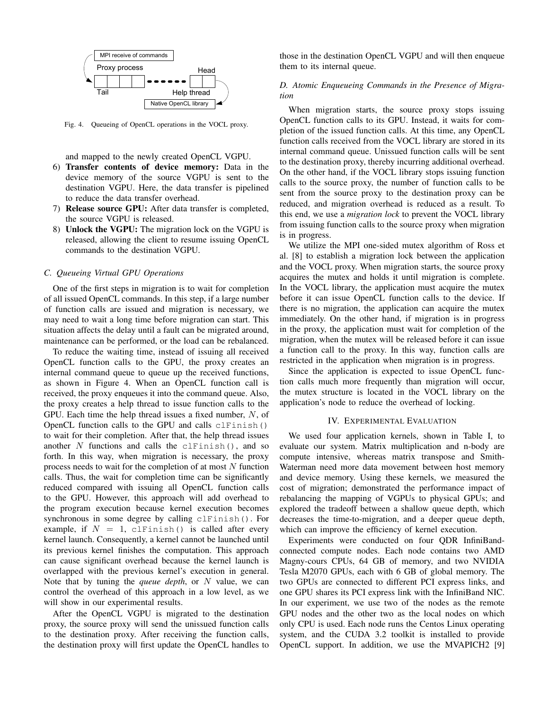

Fig. 4. Queueing of OpenCL operations in the VOCL proxy.

and mapped to the newly created OpenCL VGPU.

- 6) **Transfer contents of device memory:** Data in the device memory of the source VGPU is sent to the destination VGPU. Here, the data transfer is pipelined to reduce the data transfer overhead.
- 7) **Release source GPU:** After data transfer is completed, the source VGPU is released.
- 8) **Unlock the VGPU:** The migration lock on the VGPU is released, allowing the client to resume issuing OpenCL commands to the destination VGPU.

#### *C. Queueing Virtual GPU Operations*

One of the first steps in migration is to wait for completion of all issued OpenCL commands. In this step, if a large number of function calls are issued and migration is necessary, we may need to wait a long time before migration can start. This situation affects the delay until a fault can be migrated around, maintenance can be performed, or the load can be rebalanced.

To reduce the waiting time, instead of issuing all received OpenCL function calls to the GPU, the proxy creates an internal command queue to queue up the received functions, as shown in Figure 4. When an OpenCL function call is received, the proxy enqueues it into the command queue. Also, the proxy creates a help thread to issue function calls to the GPU. Each time the help thread issues a fixed number,  $N$ , of OpenCL function calls to the GPU and calls clFinish() to wait for their completion. After that, the help thread issues another  $N$  functions and calls the clFinish(), and so forth. In this way, when migration is necessary, the proxy process needs to wait for the completion of at most  $N$  function calls. Thus, the wait for completion time can be significantly reduced compared with issuing all OpenCL function calls to the GPU. However, this approach will add overhead to the program execution because kernel execution becomes synchronous in some degree by calling clFinish(). For example, if  $N = 1$ , clFinish() is called after every kernel launch. Consequently, a kernel cannot be launched until its previous kernel finishes the computation. This approach can cause significant overhead because the kernel launch is overlapped with the previous kernel's execution in general. Note that by tuning the *queue depth*, or N value, we can control the overhead of this approach in a low level, as we will show in our experimental results.

After the OpenCL VGPU is migrated to the destination proxy, the source proxy will send the unissued function calls to the destination proxy. After receiving the function calls, the destination proxy will first update the OpenCL handles to those in the destination OpenCL VGPU and will then enqueue them to its internal queue.

# *D. Atomic Enqueueing Commands in the Presence of Migration*

When migration starts, the source proxy stops issuing OpenCL function calls to its GPU. Instead, it waits for completion of the issued function calls. At this time, any OpenCL function calls received from the VOCL library are stored in its internal command queue. Unissued function calls will be sent to the destination proxy, thereby incurring additional overhead. On the other hand, if the VOCL library stops issuing function calls to the source proxy, the number of function calls to be sent from the source proxy to the destination proxy can be reduced, and migration overhead is reduced as a result. To this end, we use a *migration lock* to prevent the VOCL library from issuing function calls to the source proxy when migration is in progress.

We utilize the MPI one-sided mutex algorithm of Ross et al. [8] to establish a migration lock between the application and the VOCL proxy. When migration starts, the source proxy acquires the mutex and holds it until migration is complete. In the VOCL library, the application must acquire the mutex before it can issue OpenCL function calls to the device. If there is no migration, the application can acquire the mutex immediately. On the other hand, if migration is in progress in the proxy, the application must wait for completion of the migration, when the mutex will be released before it can issue a function call to the proxy. In this way, function calls are restricted in the application when migration is in progress.

Since the application is expected to issue OpenCL function calls much more frequently than migration will occur, the mutex structure is located in the VOCL library on the application's node to reduce the overhead of locking.

#### IV. EXPERIMENTAL EVALUATION

We used four application kernels, shown in Table I, to evaluate our system. Matrix multiplication and n-body are compute intensive, whereas matrix transpose and Smith-Waterman need more data movement between host memory and device memory. Using these kernels, we measured the cost of migration; demonstrated the performance impact of rebalancing the mapping of VGPUs to physical GPUs; and explored the tradeoff between a shallow queue depth, which decreases the time-to-migration, and a deeper queue depth, which can improve the efficiency of kernel execution.

Experiments were conducted on four QDR InfiniBandconnected compute nodes. Each node contains two AMD Magny-cours CPUs, 64 GB of memory, and two NVIDIA Tesla M2070 GPUs, each with 6 GB of global memory. The two GPUs are connected to different PCI express links, and one GPU shares its PCI express link with the InfiniBand NIC. In our experiment, we use two of the nodes as the remote GPU nodes and the other two as the local nodes on which only CPU is used. Each node runs the Centos Linux operating system, and the CUDA 3.2 toolkit is installed to provide OpenCL support. In addition, we use the MVAPICH2 [9]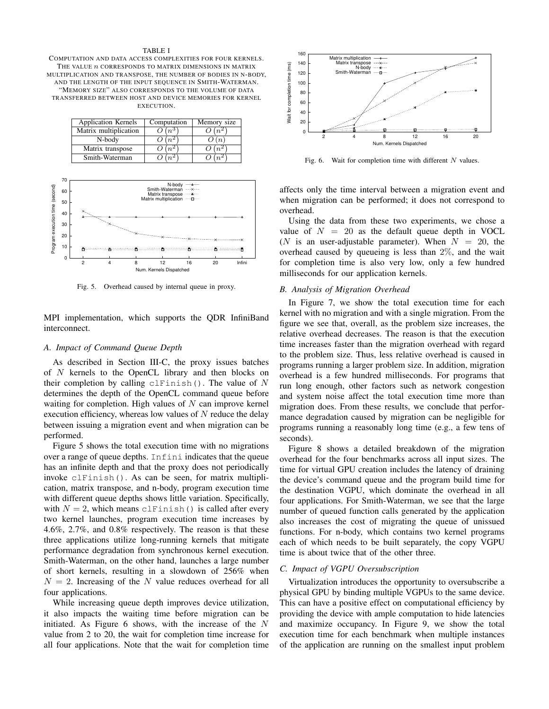#### TABLE I

COMPUTATION AND DATA ACCESS COMPLEXITIES FOR FOUR KERNELS. THE VALUE  $n$  CORRESPONDS TO MATRIX DIMENSIONS IN MATRIX MULTIPLICATION AND TRANSPOSE, THE NUMBER OF BODIES IN N-BODY, AND THE LENGTH OF THE INPUT SEQUENCE IN SMITH-WATERMAN. "MEMORY SIZE" ALSO CORRESPONDS TO THE VOLUME OF DATA TRANSFERRED BETWEEN HOST AND DEVICE MEMORIES FOR KERNEL EXECUTION.

| <b>Application Kernels</b> | Computation | Memory size    |
|----------------------------|-------------|----------------|
| Matrix multiplication      |             |                |
| N-body                     |             | $\overline{n}$ |
| Matrix transpose           |             |                |
| Smith-Waterman             |             |                |



Fig. 5. Overhead caused by internal queue in proxy.

MPI implementation, which supports the QDR InfiniBand interconnect.

#### *A. Impact of Command Queue Depth*

As described in Section III-C, the proxy issues batches of N kernels to the OpenCL library and then blocks on their completion by calling  $\text{clFinish}()$ . The value of N determines the depth of the OpenCL command queue before waiting for completion. High values of  $N$  can improve kernel execution efficiency, whereas low values of  $N$  reduce the delay between issuing a migration event and when migration can be performed.

Figure 5 shows the total execution time with no migrations over a range of queue depths. Infini indicates that the queue has an infinite depth and that the proxy does not periodically invoke clFinish(). As can be seen, for matrix multiplication, matrix transpose, and n-body, program execution time with different queue depths shows little variation. Specifically, with  $N = 2$ , which means clFinish() is called after every two kernel launches, program execution time increases by 4.6%, 2.7%, and 0.8% respectively. The reason is that these three applications utilize long-running kernels that mitigate performance degradation from synchronous kernel execution. Smith-Waterman, on the other hand, launches a large number of short kernels, resulting in a slowdown of 256% when  $N = 2$ . Increasing of the N value reduces overhead for all four applications.

While increasing queue depth improves device utilization, it also impacts the waiting time before migration can be initiated. As Figure  $6$  shows, with the increase of the N value from 2 to 20, the wait for completion time increase for all four applications. Note that the wait for completion time



Fig. 6. Wait for completion time with different  $N$  values.

affects only the time interval between a migration event and when migration can be performed; it does not correspond to overhead.

Using the data from these two experiments, we chose a value of  $N = 20$  as the default queue depth in VOCL (N is an user-adjustable parameter). When  $N = 20$ , the overhead caused by queueing is less than 2%, and the wait for completion time is also very low, only a few hundred milliseconds for our application kernels.

## *B. Analysis of Migration Overhead*

In Figure 7, we show the total execution time for each kernel with no migration and with a single migration. From the figure we see that, overall, as the problem size increases, the relative overhead decreases. The reason is that the execution time increases faster than the migration overhead with regard to the problem size. Thus, less relative overhead is caused in programs running a larger problem size. In addition, migration overhead is a few hundred milliseconds. For programs that run long enough, other factors such as network congestion and system noise affect the total execution time more than migration does. From these results, we conclude that performance degradation caused by migration can be negligible for programs running a reasonably long time (e.g., a few tens of seconds).

Figure 8 shows a detailed breakdown of the migration overhead for the four benchmarks across all input sizes. The time for virtual GPU creation includes the latency of draining the device's command queue and the program build time for the destination VGPU, which dominate the overhead in all four applications. For Smith-Waterman, we see that the large number of queued function calls generated by the application also increases the cost of migrating the queue of unissued functions. For n-body, which contains two kernel programs each of which needs to be built separately, the copy VGPU time is about twice that of the other three.

#### *C. Impact of VGPU Oversubscription*

Virtualization introduces the opportunity to oversubscribe a physical GPU by binding multiple VGPUs to the same device. This can have a positive effect on computational efficiency by providing the device with ample computation to hide latencies and maximize occupancy. In Figure 9, we show the total execution time for each benchmark when multiple instances of the application are running on the smallest input problem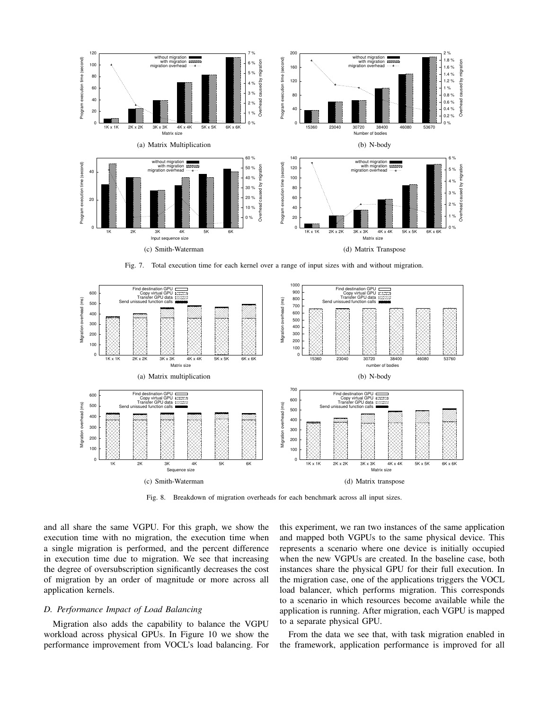

Fig. 7. Total execution time for each kernel over a range of input sizes with and without migration.



Fig. 8. Breakdown of migration overheads for each benchmark across all input sizes.

and all share the same VGPU. For this graph, we show the execution time with no migration, the execution time when a single migration is performed, and the percent difference in execution time due to migration. We see that increasing the degree of oversubscription significantly decreases the cost of migration by an order of magnitude or more across all application kernels.

# *D. Performance Impact of Load Balancing*

Migration also adds the capability to balance the VGPU workload across physical GPUs. In Figure 10 we show the performance improvement from VOCL's load balancing. For this experiment, we ran two instances of the same application and mapped both VGPUs to the same physical device. This represents a scenario where one device is initially occupied when the new VGPUs are created. In the baseline case, both instances share the physical GPU for their full execution. In the migration case, one of the applications triggers the VOCL load balancer, which performs migration. This corresponds to a scenario in which resources become available while the application is running. After migration, each VGPU is mapped to a separate physical GPU.

From the data we see that, with task migration enabled in the framework, application performance is improved for all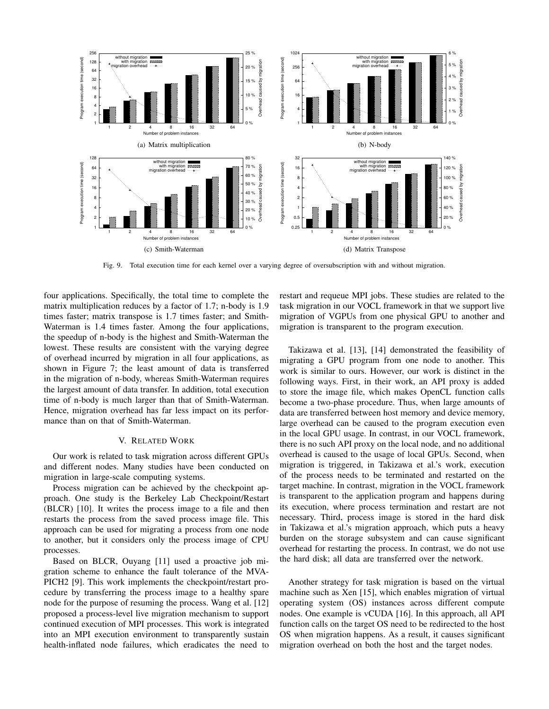

Fig. 9. Total execution time for each kernel over a varying degree of oversubscription with and without migration.

four applications. Specifically, the total time to complete the matrix multiplication reduces by a factor of 1.7; n-body is 1.9 times faster; matrix transpose is 1.7 times faster; and Smith-Waterman is 1.4 times faster. Among the four applications, the speedup of n-body is the highest and Smith-Waterman the lowest. These results are consistent with the varying degree of overhead incurred by migration in all four applications, as shown in Figure 7; the least amount of data is transferred in the migration of n-body, whereas Smith-Waterman requires the largest amount of data transfer. In addition, total execution time of n-body is much larger than that of Smith-Waterman. Hence, migration overhead has far less impact on its performance than on that of Smith-Waterman.

#### V. RELATED WORK

Our work is related to task migration across different GPUs and different nodes. Many studies have been conducted on migration in large-scale computing systems.

Process migration can be achieved by the checkpoint approach. One study is the Berkeley Lab Checkpoint/Restart (BLCR) [10]. It writes the process image to a file and then restarts the process from the saved process image file. This approach can be used for migrating a process from one node to another, but it considers only the process image of CPU processes.

Based on BLCR, Ouyang [11] used a proactive job migration scheme to enhance the fault tolerance of the MVA-PICH2 [9]. This work implements the checkpoint/restart procedure by transferring the process image to a healthy spare node for the purpose of resuming the process. Wang et al. [12] proposed a process-level live migration mechanism to support continued execution of MPI processes. This work is integrated into an MPI execution environment to transparently sustain health-inflated node failures, which eradicates the need to

restart and requeue MPI jobs. These studies are related to the task migration in our VOCL framework in that we support live migration of VGPUs from one physical GPU to another and migration is transparent to the program execution.

Takizawa et al. [13], [14] demonstrated the feasibility of migrating a GPU program from one node to another. This work is similar to ours. However, our work is distinct in the following ways. First, in their work, an API proxy is added to store the image file, which makes OpenCL function calls become a two-phase procedure. Thus, when large amounts of data are transferred between host memory and device memory, large overhead can be caused to the program execution even in the local GPU usage. In contrast, in our VOCL framework, there is no such API proxy on the local node, and no additional overhead is caused to the usage of local GPUs. Second, when migration is triggered, in Takizawa et al.'s work, execution of the process needs to be terminated and restarted on the target machine. In contrast, migration in the VOCL framework is transparent to the application program and happens during its execution, where process termination and restart are not necessary. Third, process image is stored in the hard disk in Takizawa et al.'s migration approach, which puts a heavy burden on the storage subsystem and can cause significant overhead for restarting the process. In contrast, we do not use the hard disk; all data are transferred over the network.

Another strategy for task migration is based on the virtual machine such as Xen [15], which enables migration of virtual operating system (OS) instances across different compute nodes. One example is vCUDA [16]. In this approach, all API function calls on the target OS need to be redirected to the host OS when migration happens. As a result, it causes significant migration overhead on both the host and the target nodes.